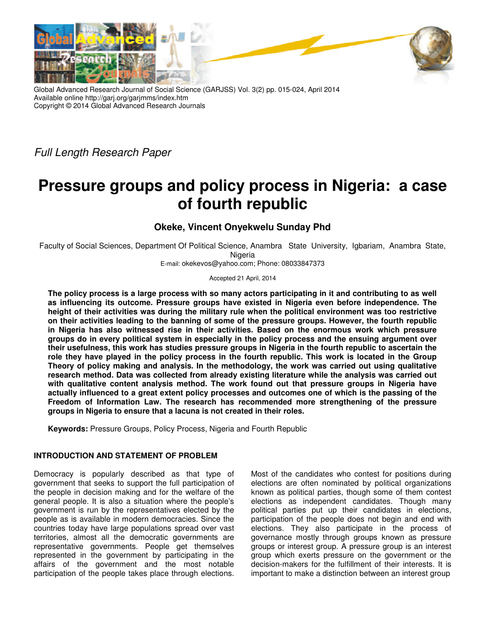

Global Advanced Research Journal of Social Science (GARJSS) Vol. 3(2) pp. 015-024, April 2014 Available online http://garj.org/garjmms/index.htm Copyright © 2014 Global Advanced Research Journals

*Full Length Research Paper* 

# **Pressure groups and policy process in Nigeria: a case of fourth republic**

## **Okeke, Vincent Onyekwelu Sunday Phd**

Faculty of Social Sciences, Department Of Political Science, Anambra State University, Igbariam, Anambra State, Nigeria

E-mail: okekevos@yahoo.com; Phone: 08033847373

Accepted 21 April, 2014

**The policy process is a large process with so many actors participating in it and contributing to as well as influencing its outcome. Pressure groups have existed in Nigeria even before independence. The height of their activities was during the military rule when the political environment was too restrictive on their activities leading to the banning of some of the pressure groups. However, the fourth republic in Nigeria has also witnessed rise in their activities. Based on the enormous work which pressure groups do in every political system in especially in the policy process and the ensuing argument over their usefulness, this work has studies pressure groups in Nigeria in the fourth republic to ascertain the role they have played in the policy process in the fourth republic. This work is located in the Group Theory of policy making and analysis. In the methodology, the work was carried out using qualitative research method. Data was collected from already existing literature while the analysis was carried out with qualitative content analysis method. The work found out that pressure groups in Nigeria have actually influenced to a great extent policy processes and outcomes one of which is the passing of the Freedom of Information Law. The research has recommended more strengthening of the pressure groups in Nigeria to ensure that a lacuna is not created in their roles.** 

**Keywords:** Pressure Groups, Policy Process, Nigeria and Fourth Republic

## **INTRODUCTION AND STATEMENT OF PROBLEM**

Democracy is popularly described as that type of government that seeks to support the full participation of the people in decision making and for the welfare of the general people. It is also a situation where the people's government is run by the representatives elected by the people as is available in modern democracies. Since the countries today have large populations spread over vast territories, almost all the democratic governments are representative governments. People get themselves represented in the government by participating in the affairs of the government and the most notable participation of the people takes place through elections.

Most of the candidates who contest for positions during elections are often nominated by political organizations known as political parties, though some of them contest elections as independent candidates. Though many political parties put up their candidates in elections, participation of the people does not begin and end with elections. They also participate in the process of governance mostly through groups known as pressure groups or interest group. A pressure group is an interest group which exerts pressure on the government or the decision-makers for the fulfillment of their interests. It is important to make a distinction between an interest group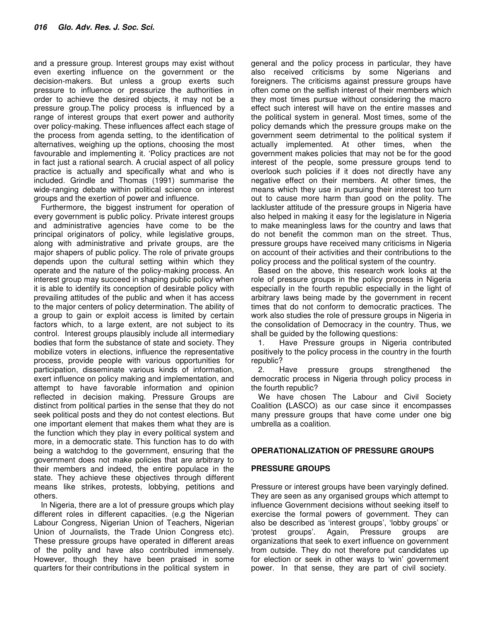and a pressure group. Interest groups may exist without even exerting influence on the government or the decision-makers. But unless a group exerts such pressure to influence or pressurize the authorities in order to achieve the desired objects, it may not be a pressure group.The policy process is influenced by a range of interest groups that exert power and authority over policy-making. These influences affect each stage of the process from agenda setting, to the identification of alternatives, weighing up the options, choosing the most favourable and implementing it. 'Policy practices are not in fact just a rational search. A crucial aspect of all policy practice is actually and specifically what and who is included. Grindle and Thomas (1991) summarise the wide-ranging debate within political science on interest groups and the exertion of power and influence.

Furthermore, the biggest instrument for operation of every government is public policy. Private interest groups and administrative agencies have come to be the principal originators of policy, while legislative groups, along with administrative and private groups, are the major shapers of public policy. The role of private groups depends upon the cultural setting within which they operate and the nature of the policy-making process. An interest group may succeed in shaping public policy when it is able to identify its conception of desirable policy with prevailing attitudes of the public and when it has access to the major centers of policy determination. The ability of a group to gain or exploit access is limited by certain factors which, to a large extent, are not subject to its control. Interest groups plausibly include all intermediary bodies that form the substance of state and society. They mobilize voters in elections, influence the representative process, provide people with various opportunities for participation, disseminate various kinds of information, exert influence on policy making and implementation, and attempt to have favorable information and opinion reflected in decision making. Pressure Groups are distinct from political parties in the sense that they do not seek political posts and they do not contest elections. But one important element that makes them what they are is the function which they play in every political system and more, in a democratic state. This function has to do with being a watchdog to the government, ensuring that the government does not make policies that are arbitrary to their members and indeed, the entire populace in the state. They achieve these objectives through different means like strikes, protests, lobbying, petitions and others.

In Nigeria, there are a lot of pressure groups which play different roles in different capacities. (e.g the Nigerian Labour Congress, Nigerian Union of Teachers, Nigerian Union of Journalists, the Trade Union Congress etc). These pressure groups have operated in different areas of the polity and have also contributed immensely. However, though they have been praised in some quarters for their contributions in the political system in

general and the policy process in particular, they have also received criticisms by some Nigerians and foreigners. The criticisms against pressure groups have often come on the selfish interest of their members which they most times pursue without considering the macro effect such interest will have on the entire masses and the political system in general. Most times, some of the policy demands which the pressure groups make on the government seem detrimental to the political system if actually implemented. At other times, when the government makes policies that may not be for the good interest of the people, some pressure groups tend to overlook such policies if it does not directly have any negative effect on their members. At other times, the means which they use in pursuing their interest too turn out to cause more harm than good on the polity. The lackluster attitude of the pressure groups in Nigeria have also helped in making it easy for the legislature in Nigeria to make meaningless laws for the country and laws that do not benefit the common man on the street. Thus, pressure groups have received many criticisms in Nigeria on account of their activities and their contributions to the policy process and the political system of the country.

Based on the above, this research work looks at the role of pressure groups in the policy process in Nigeria especially in the fourth republic especially in the light of arbitrary laws being made by the government in recent times that do not conform to democratic practices. The work also studies the role of pressure groups in Nigeria in the consolidation of Democracy in the country. Thus, we shall be guided by the following questions:

1. Have Pressure groups in Nigeria contributed positively to the policy process in the country in the fourth republic?

2. Have pressure groups strengthened the democratic process in Nigeria through policy process in the fourth republic?

We have chosen The Labour and Civil Society Coalition **(**LASCO) as our case since it encompasses many pressure groups that have come under one big umbrella as a coalition.

## **OPERATIONALIZATION OF PRESSURE GROUPS**

#### **PRESSURE GROUPS**

Pressure or interest groups have been varyingly defined. They are seen as any organised groups which attempt to influence Government decisions without seeking itself to exercise the formal powers of government. They can also be described as 'interest groups', 'lobby groups' or 'protest groups'. Again, Pressure groups are organizations that seek to exert influence on government from outside. They do not therefore put candidates up for election or seek in other ways to 'win' government power. In that sense, they are part of civil society.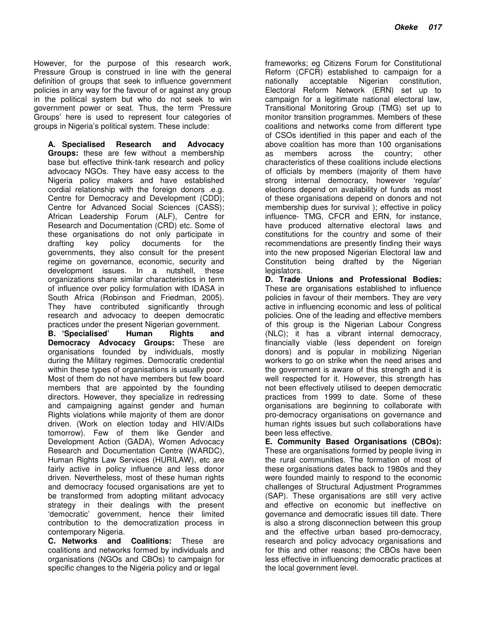However, for the purpose of this research work, Pressure Group is construed in line with the general definition of groups that seek to influence government policies in any way for the favour of or against any group in the political system but who do not seek to win government power or seat. Thus, the term 'Pressure Groups' here is used to represent four categories of groups in Nigeria's political system. These include:

**A. Specialised Research and Advocacy Groups:** these are few without a membership base but effective think-tank research and policy advocacy NGOs. They have easy access to the Nigeria policy makers and have established cordial relationship with the foreign donors .e.g. Centre for Democracy and Development (CDD); Centre for Advanced Social Sciences (CASS); African Leadership Forum (ALF), Centre for Research and Documentation (CRD) etc. Some of these organisations do not only participate in drafting key policy documents for the governments, they also consult for the present regime on governance, economic, security and development issues. In a nutshell, these organizations share similar characteristics in term of influence over policy formulation with IDASA in South Africa (Robinson and Friedman, 2005). They have contributed significantly through research and advocacy to deepen democratic practices under the present Nigerian government. **B. 'Specialised' Human Rights and Democracy Advocacy Groups:** These are organisations founded by individuals, mostly during the Military regimes. Democratic credential within these types of organisations is usually poor. Most of them do not have members but few board members that are appointed by the founding directors. However, they specialize in redressing and campaigning against gender and human Rights violations while majority of them are donor driven. (Work on election today and HIV/AIDs tomorrow). Few of them like Gender and Development Action (GADA), Women Advocacy Research and Documentation Centre (WARDC), Human Rights Law Services (HURILAW), etc are fairly active in policy influence and less donor driven. Nevertheless, most of these human rights and democracy focused organisations are yet to be transformed from adopting militant advocacy strategy in their dealings with the present 'democratic' government, hence their limited contribution to the democratization process in contemporary Nigeria.

**C. Networks and Coalitions:** These are coalitions and networks formed by individuals and organisations (NGOs and CBOs) to campaign for specific changes to the Nigeria policy and or legal

frameworks; eg Citizens Forum for Constitutional Reform (CFCR) established to campaign for a nationally acceptable Nigerian constitution, Electoral Reform Network (ERN) set up to campaign for a legitimate national electoral law, Transitional Monitoring Group (TMG) set up to monitor transition programmes. Members of these coalitions and networks come from different type of CSOs identified in this paper and each of the above coalition has more than 100 organisations as members across the country; other characteristics of these coalitions include elections of officials by members (majority of them have strong internal democracy, however 'regular' elections depend on availability of funds as most of these organisations depend on donors and not membership dues for survival ); effective in policy influence- TMG, CFCR and ERN, for instance, have produced alternative electoral laws and constitutions for the country and some of their recommendations are presently finding their ways into the new proposed Nigerian Electoral law and Constitution being drafted by the Nigerian legislators.

**D. Trade Unions and Professional Bodies:** These are organisations established to influence policies in favour of their members. They are very active in influencing economic and less of political policies. One of the leading and effective members of this group is the Nigerian Labour Congress (NLC); it has a vibrant internal democracy, financially viable (less dependent on foreign donors) and is popular in mobilizing Nigerian workers to go on strike when the need arises and the government is aware of this strength and it is well respected for it. However, this strength has not been effectively utilised to deepen democratic practices from 1999 to date. Some of these organisations are beginning to collaborate with pro-democracy organisations on governance and human rights issues but such collaborations have been less effective.

**E. Community Based Organisations (CBOs):** These are organisations formed by people living in the rural communities. The formation of most of these organisations dates back to 1980s and they were founded mainly to respond to the economic challenges of Structural Adjustment Programmes (SAP). These organisations are still very active and effective on economic but ineffective on governance and democratic issues till date. There is also a strong disconnection between this group and the effective urban based pro-democracy, research and policy advocacy organisations and for this and other reasons; the CBOs have been less effective in influencing democratic practices at the local government level.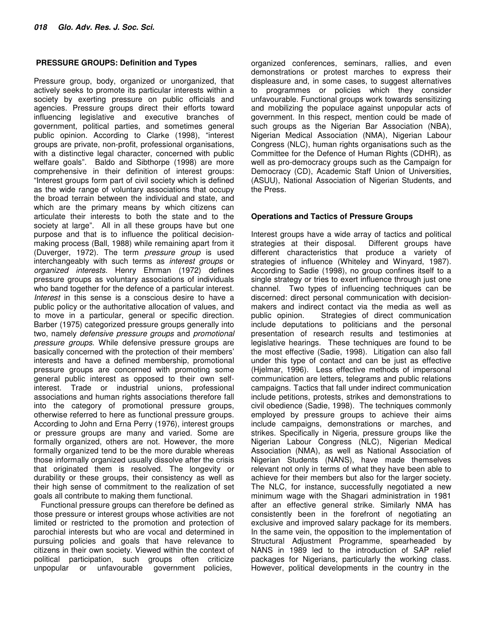#### **PRESSURE GROUPS: Definition and Types**

Pressure group, body, organized or unorganized, that actively seeks to promote its particular interests within a society by exerting pressure on public officials and agencies. Pressure groups direct their efforts toward influencing legislative and executive branches of government, political parties, and sometimes general public opinion. According to Clarke (1998), "interest groups are private, non-profit, professional organisations, with a distinctive legal character, concerned with public welfare goals". Baldo and Sibthorpe (1998) are more comprehensive in their definition of interest groups: "Interest groups form part of civil society which is defined as the wide range of voluntary associations that occupy the broad terrain between the individual and state, and which are the primary means by which citizens can articulate their interests to both the state and to the society at large". All in all these groups have but one purpose and that is to influence the political decisionmaking process (Ball, 1988) while remaining apart from it (Duverger, 1972). The term *pressure group* is used interchangeably with such terms as *interest groups* or *organized interests*. Henry Ehrman (1972) defines pressure groups as voluntary associations of individuals who band together for the defence of a particular interest. *Interest* in this sense is a conscious desire to have a public policy or the authoritative allocation of values, and to move in a particular, general or specific direction. Barber (1975) categorized pressure groups generally into two, namely *defensive pressure groups* and *promotional pressure groups*. While defensive pressure groups are basically concerned with the protection of their members' interests and have a defined membership, promotional pressure groups are concerned with promoting some general public interest as opposed to their own selfinterest. Trade or industrial unions, professional associations and human rights associations therefore fall into the category of promotional pressure groups, otherwise referred to here as functional pressure groups. According to John and Erna Perry (1976), interest groups or pressure groups are many and varied. Some are formally organized, others are not. However, the more formally organized tend to be the more durable whereas those informally organized usually dissolve after the crisis that originated them is resolved. The longevity or durability or these groups, their consistency as well as their high sense of commitment to the realization of set goals all contribute to making them functional.

Functional pressure groups can therefore be defined as those pressure or interest groups whose activities are not limited or restricted to the promotion and protection of parochial interests but who are vocal and determined in pursuing policies and goals that have relevance to citizens in their own society. Viewed within the context of political participation, such groups often criticize unpopular or unfavourable government policies,

organized conferences, seminars, rallies, and even demonstrations or protest marches to express their displeasure and, in some cases, to suggest alternatives to programmes or policies which they consider unfavourable. Functional groups work towards sensitizing and mobilizing the populace against unpopular acts of government. In this respect, mention could be made of such groups as the Nigerian Bar Association (NBA), Nigerian Medical Association (NMA), Nigerian Labour Congress (NLC), human rights organisations such as the Committee for the Defence of Human Rights (CDHR), as well as pro-democracy groups such as the Campaign for Democracy (CD), Academic Staff Union of Universities, (ASUU), National Association of Nigerian Students, and the Press.

## **Operations and Tactics of Pressure Groups**

Interest groups have a wide array of tactics and political strategies at their disposal. Different groups have different characteristics that produce a variety of strategies of influence (Whiteley and Winyard, 1987). According to Sadie (1998), no group confines itself to a single strategy or tries to exert influence through just one channel. Two types of influencing techniques can be discerned: direct personal communication with decisionmakers and indirect contact via the media as well as Strategies of direct communication. include deputations to politicians and the personal presentation of research results and testimonies at legislative hearings. These techniques are found to be the most effective (Sadie, 1998). Litigation can also fall under this type of contact and can be just as effective (Hjelmar, 1996). Less effective methods of impersonal communication are letters, telegrams and public relations campaigns. Tactics that fall under indirect communication include petitions, protests, strikes and demonstrations to civil obedience (Sadie, 1998). The techniques commonly employed by pressure groups to achieve their aims include campaigns, demonstrations or marches, and strikes. Specifically in Nigeria, pressure groups like the Nigerian Labour Congress (NLC), Nigerian Medical Association (NMA), as well as National Association of Nigerian Students (NANS), have made themselves relevant not only in terms of what they have been able to achieve for their members but also for the larger society. The NLC, for instance, successfully negotiated a new minimum wage with the Shagari administration in 1981 after an effective general strike. Similarly NMA has consistently been in the forefront of negotiating an exclusive and improved salary package for its members. In the same vein, the opposition to the implementation of Structural Adjustment Programme, spearheaded by NANS in 1989 led to the introduction of SAP relief packages for Nigerians, particularly the working class. However, political developments in the country in the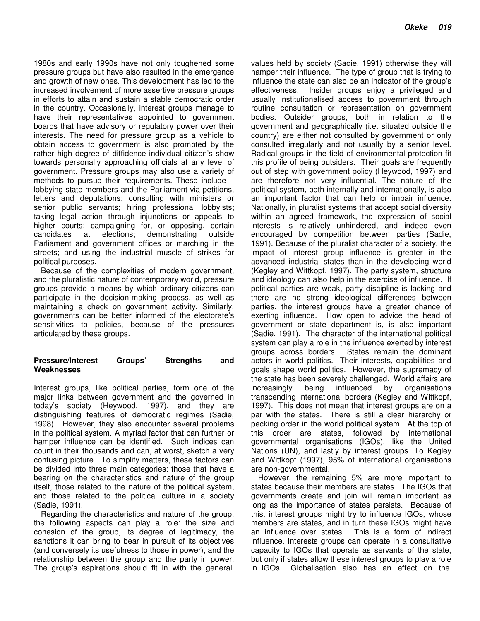1980s and early 1990s have not only toughened some pressure groups but have also resulted in the emergence and growth of new ones. This development has led to the increased involvement of more assertive pressure groups in efforts to attain and sustain a stable democratic order in the country. Occasionally, interest groups manage to have their representatives appointed to government boards that have advisory or regulatory power over their interests. The need for pressure group as a vehicle to obtain access to government is also prompted by the rather high degree of diffidence individual citizen's show towards personally approaching officials at any level of government. Pressure groups may also use a variety of methods to pursue their requirements. These include – lobbying state members and the Parliament via petitions, letters and deputations; consulting with ministers or senior public servants; hiring professional lobbyists; taking legal action through injunctions or appeals to higher courts; campaigning for, or opposing, certain candidates at elections; demonstrating outside at elections; demonstrating outside Parliament and government offices or marching in the streets; and using the industrial muscle of strikes for political purposes.

Because of the complexities of modern government, and the pluralistic nature of contemporary world, pressure groups provide a means by which ordinary citizens can participate in the decision-making process, as well as maintaining a check on government activity. Similarly, governments can be better informed of the electorate's sensitivities to policies, because of the pressures articulated by these groups.

#### **Pressure/Interest Groups' Strengths and Weaknesses**

Interest groups, like political parties, form one of the major links between government and the governed in today's society (Heywood, 1997), and they are distinguishing features of democratic regimes (Sadie, 1998). However, they also encounter several problems in the political system. A myriad factor that can further or hamper influence can be identified. Such indices can count in their thousands and can, at worst, sketch a very confusing picture. To simplify matters, these factors can be divided into three main categories: those that have a bearing on the characteristics and nature of the group itself, those related to the nature of the political system, and those related to the political culture in a society (Sadie, 1991).

Regarding the characteristics and nature of the group, the following aspects can play a role: the size and cohesion of the group, its degree of legitimacy, the sanctions it can bring to bear in pursuit of its objectives (and conversely its usefulness to those in power), and the relationship between the group and the party in power. The group's aspirations should fit in with the general

values held by society (Sadie, 1991) otherwise they will hamper their influence. The type of group that is trying to influence the state can also be an indicator of the group's effectiveness. Insider groups enjoy a privileged and usually institutionalised access to government through routine consultation or representation on government bodies. Outsider groups, both in relation to the government and geographically (i.e. situated outside the country) are either not consulted by government or only consulted irregularly and not usually by a senior level. Radical groups in the field of environmental protection fit this profile of being outsiders. Their goals are frequently out of step with government policy (Heywood, 1997) and are therefore not very influential. The nature of the political system, both internally and internationally, is also an important factor that can help or impair influence. Nationally, in pluralist systems that accept social diversity within an agreed framework, the expression of social interests is relatively unhindered, and indeed even encouraged by competition between parties (Sadie, 1991). Because of the pluralist character of a society, the impact of interest group influence is greater in the advanced industrial states than in the developing world (Kegley and Wittkopf, 1997). The party system, structure and ideology can also help in the exercise of influence. If political parties are weak, party discipline is lacking and there are no strong ideological differences between parties, the interest groups have a greater chance of exerting influence. How open to advice the head of government or state department is, is also important (Sadie, 1991). The character of the international political system can play a role in the influence exerted by interest groups across borders. States remain the dominant actors in world politics. Their interests, capabilities and goals shape world politics. However, the supremacy of the state has been severely challenged. World affairs are increasingly being influenced by organisations transcending international borders (Kegley and Wittkopf, 1997). This does not mean that interest groups are on a par with the states. There is still a clear hierarchy or pecking order in the world political system. At the top of this order are states, followed by international governmental organisations (IGOs), like the United Nations (UN), and lastly by interest groups. To Kegley and Wittkopf (1997), 95% of international organisations are non-governmental.

However, the remaining 5% are more important to states because their members are states. The IGOs that governments create and join will remain important as long as the importance of states persists. Because of this, interest groups might try to influence IGOs, whose members are states, and in turn these IGOs might have an influence over states. This is a form of indirect influence. Interests groups can operate in a consultative capacity to IGOs that operate as servants of the state, but only if states allow these interest groups to play a role in IGOs. Globalisation also has an effect on the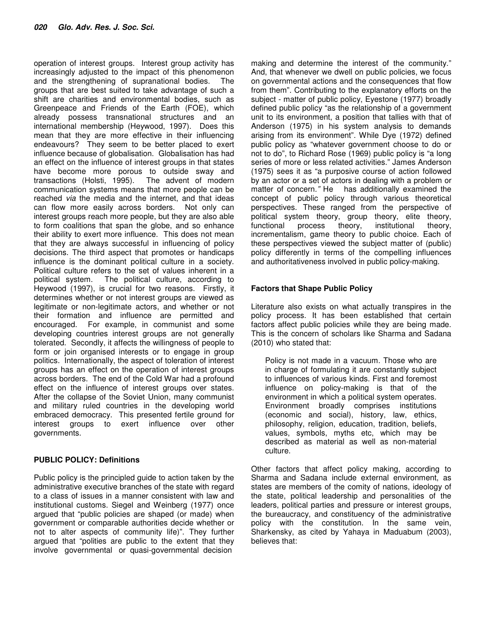operation of interest groups. Interest group activity has increasingly adjusted to the impact of this phenomenon and the strengthening of supranational bodies. The groups that are best suited to take advantage of such a shift are charities and environmental bodies, such as Greenpeace and Friends of the Earth (FOE), which already possess transnational structures and an international membership (Heywood, 1997). Does this mean that they are more effective in their influencing endeavours? They seem to be better placed to exert influence because of globalisation. Globalisation has had an effect on the influence of interest groups in that states have become more porous to outside sway and<br>transactions (Holsti, 1995). The advent of modern transactions (Holsti, 1995). communication systems means that more people can be reached *via* the media and the internet, and that ideas can flow more easily across borders. Not only can interest groups reach more people, but they are also able to form coalitions that span the globe, and so enhance their ability to exert more influence. This does not mean that they are always successful in influencing of policy decisions. The third aspect that promotes or handicaps influence is the dominant political culture in a society. Political culture refers to the set of values inherent in a political system. The political culture, according to Heywood (1997), is crucial for two reasons. Firstly, it determines whether or not interest groups are viewed as legitimate or non-legitimate actors, and whether or not their formation and influence are permitted and encouraged. For example, in communist and some developing countries interest groups are not generally tolerated. Secondly, it affects the willingness of people to form or join organised interests or to engage in group politics. Internationally, the aspect of toleration of interest groups has an effect on the operation of interest groups across borders. The end of the Cold War had a profound effect on the influence of interest groups over states. After the collapse of the Soviet Union, many communist and military ruled countries in the developing world embraced democracy. This presented fertile ground for interest groups to exert influence over other governments.

## **PUBLIC POLICY: Definitions**

Public policy is the principled guide to action taken by the administrative executive branches of the state with regard to a class of issues in a manner consistent with law and institutional customs. Siegel and Weinberg (1977) once argued that "public policies are shaped (or made) when government or comparable authorities decide whether or not to alter aspects of community life)". They further argued that "polities are public to the extent that they involve governmental or quasi-governmental decision

making and determine the interest of the community." And, that whenever we dwell on public policies, we focus on governmental actions and the consequences that flow from them". Contributing to the explanatory efforts on the subject - matter of public policy, Eyestone (1977) broadly defined public policy "as the relationship of a government unit to its environment, a position that tallies with that of Anderson (1975) in his system analysis to demands arising from its environment". While Dye (1972) defined public policy as "whatever government choose to do or not to do", to Richard Rose (1969) public policy is "a long series of more or less related activities." James Anderson (1975) sees it as "a purposive course of action followed by an actor or a set of actors in dealing with a problem or matter of concern*."* He has additionally examined the concept of public policy through various theoretical perspectives. These ranged from the perspective of political system theory, group theory, elite theory, functional process theory, institutional theory, incrementalism, game theory to public choice. Each of these perspectives viewed the subject matter of (public) policy differently in terms of the compelling influences and authoritativeness involved in public policy-making.

#### **Factors that Shape Public Policy**

Literature also exists on what actually transpires in the policy process. It has been established that certain factors affect public policies while they are being made. This is the concern of scholars like Sharma and Sadana (2010) who stated that:

Policy is not made in a vacuum. Those who are in charge of formulating it are constantly subject to influences of various kinds. First and foremost influence on policy-making is that of the environment in which a political system operates. Environment broadly comprises institutions (economic and social), history, law, ethics, philosophy, religion, education, tradition, beliefs, values, symbols, myths etc, which may be described as material as well as non-material culture.

Other factors that affect policy making, according to Sharma and Sadana include external environment, as states are members of the comity of nations, ideology of the state, political leadership and personalities of the leaders, political parties and pressure or interest groups, the bureaucracy, and constituency of the administrative policy with the constitution. In the same vein, Sharkensky, as cited by Yahaya in Maduabum (2003), believes that: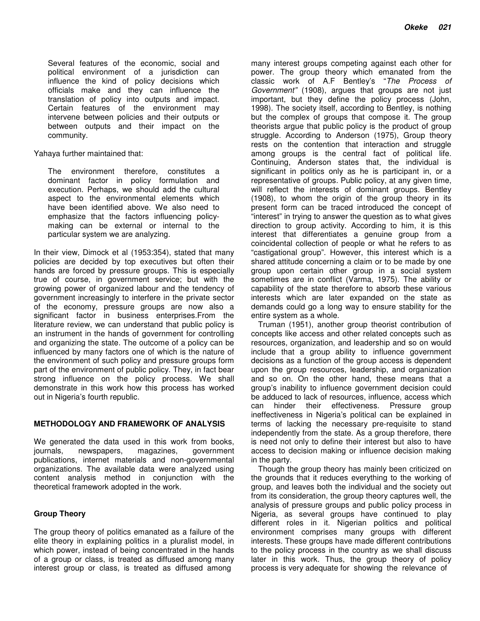Several features of the economic, social and political environment of a jurisdiction can influence the kind of policy decisions which officials make and they can influence the translation of policy into outputs and impact. Certain features of the environment may intervene between policies and their outputs or between outputs and their impact on the community.

Yahaya further maintained that:

The environment therefore, constitutes a dominant factor in policy formulation and execution. Perhaps, we should add the cultural aspect to the environmental elements which have been identified above. We also need to emphasize that the factors influencing policymaking can be external or internal to the particular system we are analyzing.

In their view, Dimock et al (1953:354), stated that many policies are decided by top executives but often their hands are forced by pressure groups. This is especially true of course, in government service; but with the growing power of organized labour and the tendency of government increasingly to interfere in the private sector of the economy, pressure groups are now also a significant factor in business enterprises.From the literature review, we can understand that public policy is an instrument in the hands of government for controlling and organizing the state. The outcome of a policy can be influenced by many factors one of which is the nature of the environment of such policy and pressure groups form part of the environment of public policy. They, in fact bear strong influence on the policy process. We shall demonstrate in this work how this process has worked out in Nigeria's fourth republic.

## **METHODOLOGY AND FRAMEWORK OF ANALYSIS**

We generated the data used in this work from books, journals, newspapers, magazines, government publications, internet materials and non-governmental organizations. The available data were analyzed using content analysis method in conjunction with the theoretical framework adopted in the work.

#### **Group Theory**

The group theory of politics emanated as a failure of the elite theory in explaining politics in a pluralist model, in which power, instead of being concentrated in the hands of a group or class, is treated as diffused among many interest group or class, is treated as diffused among

many interest groups competing against each other for power. The group theory which emanated from the classic work of A.F Bentley's "*The Process of Government"* (1908), argues that groups are not just important, but they define the policy process (John, 1998). The society itself, according to Bentley, is nothing but the complex of groups that compose it. The group theorists argue that public policy is the product of group struggle. According to Anderson (1975), Group theory rests on the contention that interaction and struggle among groups is the central fact of political life. Continuing, Anderson states that, the individual is significant in politics only as he is participant in, or a representative of groups. Public policy, at any given time, will reflect the interests of dominant groups. Bentley (1908), to whom the origin of the group theory in its present form can be traced introduced the concept of "interest" in trying to answer the question as to what gives direction to group activity. According to him, it is this interest that differentiates a genuine group from a coincidental collection of people or what he refers to as "castigational group". However, this interest which is a shared attitude concerning a claim or to be made by one group upon certain other group in a social system sometimes are in conflict (Varma, 1975). The ability or capability of the state therefore to absorb these various interests which are later expanded on the state as demands could go a long way to ensure stability for the entire system as a whole.

Truman (1951), another group theorist contribution of concepts like access and other related concepts such as resources, organization, and leadership and so on would include that a group ability to influence government decisions as a function of the group access is dependent upon the group resources, leadership, and organization and so on. On the other hand, these means that a group's inability to influence government decision could be adduced to lack of resources, influence, access which can hinder their effectiveness. Pressure group ineffectiveness in Nigeria's political can be explained in terms of lacking the necessary pre-requisite to stand independently from the state. As a group therefore, there is need not only to define their interest but also to have access to decision making or influence decision making in the party.

Though the group theory has mainly been criticized on the grounds that it reduces everything to the working of group, and leaves both the individual and the society out from its consideration, the group theory captures well, the analysis of pressure groups and public policy process in Nigeria, as several groups have continued to play different roles in it. Nigerian politics and political environment comprises many groups with different interests. These groups have made different contributions to the policy process in the country as we shall discuss later in this work. Thus, the group theory of policy process is very adequate for showing the relevance of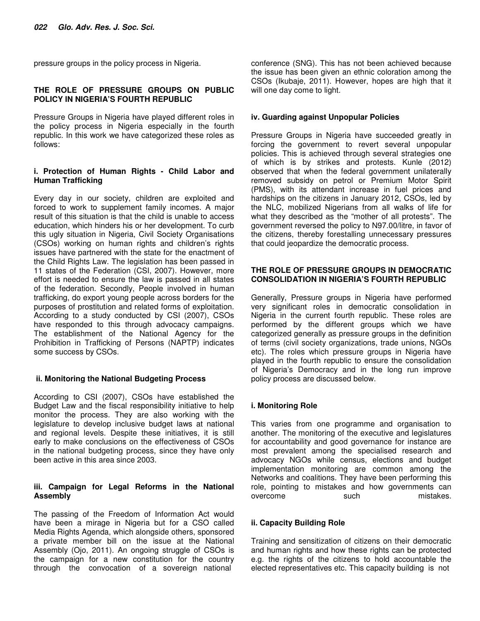pressure groups in the policy process in Nigeria.

#### **THE ROLE OF PRESSURE GROUPS ON PUBLIC POLICY IN NIGERIA'S FOURTH REPUBLIC**

Pressure Groups in Nigeria have played different roles in the policy process in Nigeria especially in the fourth republic. In this work we have categorized these roles as follows:

#### **i. Protection of Human Rights - Child Labor and Human Trafficking**

Every day in our society, children are exploited and forced to work to supplement family incomes. A major result of this situation is that the child is unable to access education, which hinders his or her development. To curb this ugly situation in Nigeria, Civil Society Organisations (CSOs) working on human rights and children's rights issues have partnered with the state for the enactment of the Child Rights Law. The legislation has been passed in 11 states of the Federation (CSI, 2007). However, more effort is needed to ensure the law is passed in all states of the federation. Secondly, People involved in human trafficking, do export young people across borders for the purposes of prostitution and related forms of exploitation. According to a study conducted by CSI (2007), CSOs have responded to this through advocacy campaigns. The establishment of the National Agency for the Prohibition in Trafficking of Persons (NAPTP) indicates some success by CSOs.

## **ii. Monitoring the National Budgeting Process**

According to CSI (2007), CSOs have established the Budget Law and the fiscal responsibility initiative to help monitor the process. They are also working with the legislature to develop inclusive budget laws at national and regional levels. Despite these initiatives, it is still early to make conclusions on the effectiveness of CSOs in the national budgeting process, since they have only been active in this area since 2003.

#### **iii. Campaign for Legal Reforms in the National Assembly**

The passing of the Freedom of Information Act would have been a mirage in Nigeria but for a CSO called Media Rights Agenda, which alongside others, sponsored a private member bill on the issue at the National Assembly (Ojo, 2011). An ongoing struggle of CSOs is the campaign for a new constitution for the country through the convocation of a sovereign national

conference (SNG). This has not been achieved because the issue has been given an ethnic coloration among the CSOs (Ikubaje, 2011). However, hopes are high that it will one day come to light.

#### **iv. Guarding against Unpopular Policies**

Pressure Groups in Nigeria have succeeded greatly in forcing the government to revert several unpopular policies. This is achieved through several strategies one of which is by strikes and protests. Kunle (2012) observed that when the federal government unilaterally removed subsidy on petrol or Premium Motor Spirit (PMS), with its attendant increase in fuel prices and hardships on the citizens in January 2012, CSOs, led by the NLC, mobilized Nigerians from all walks of life for what they described as the "mother of all protests". The government reversed the policy to N97.00/litre, in favor of the citizens, thereby forestalling unnecessary pressures that could jeopardize the democratic process.

#### **THE ROLE OF PRESSURE GROUPS IN DEMOCRATIC CONSOLIDATION IN NIGERIA'S FOURTH REPUBLIC**

Generally, Pressure groups in Nigeria have performed very significant roles in democratic consolidation in Nigeria in the current fourth republic. These roles are performed by the different groups which we have categorized generally as pressure groups in the definition of terms (civil society organizations, trade unions, NGOs etc). The roles which pressure groups in Nigeria have played in the fourth republic to ensure the consolidation of Nigeria's Democracy and in the long run improve policy process are discussed below.

## **i. Monitoring Role**

This varies from one programme and organisation to another. The monitoring of the executive and legislatures for accountability and good governance for instance are most prevalent among the specialised research and advocacy NGOs while census, elections and budget implementation monitoring are common among the Networks and coalitions. They have been performing this role, pointing to mistakes and how governments can overcome such such mistakes.

#### **ii. Capacity Building Role**

Training and sensitization of citizens on their democratic and human rights and how these rights can be protected e.g. the rights of the citizens to hold accountable the elected representatives etc. This capacity building is not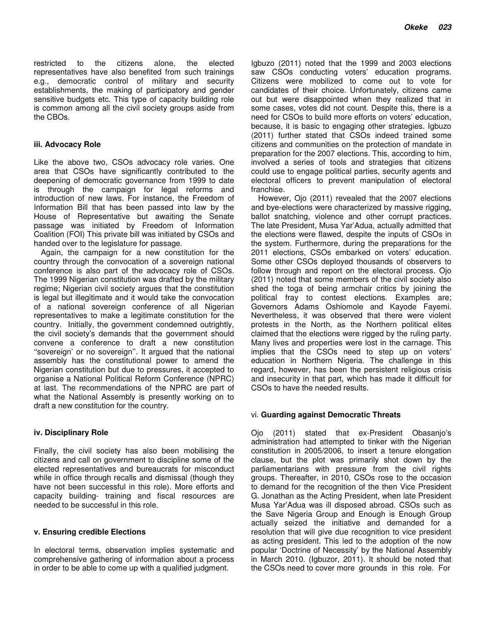restricted to the citizens alone, the elected representatives have also benefited from such trainings e.g., democratic control of military and security establishments, the making of participatory and gender sensitive budgets etc. This type of capacity building role is common among all the civil society groups aside from the CBOs.

#### **iii. Advocacy Role**

Like the above two, CSOs advocacy role varies. One area that CSOs have significantly contributed to the deepening of democratic governance from 1999 to date is through the campaign for legal reforms and introduction of new laws. For instance, the Freedom of Information Bill that has been passed into law by the House of Representative but awaiting the Senate passage was initiated by Freedom of Information Coalition (FOI) This private bill was initiated by CSOs and handed over to the legislature for passage.

Again, the campaign for a new constitution for the country through the convocation of a sovereign national conference is also part of the advocacy role of CSOs. The 1999 Nigerian constitution was drafted by the military regime; Nigerian civil society argues that the constitution is legal but illegitimate and it would take the convocation of a national sovereign conference of all Nigerian representatives to make a legitimate constitution for the country. Initially, the government condemned outrightly, the civil society's demands that the government should convene a conference to draft a new constitution "sovereign' or no sovereign". It argued that the national assembly has the constitutional power to amend the Nigerian constitution but due to pressures, it accepted to organise a National Political Reform Conference (NPRC) at last. The recommendations of the NPRC are part of what the National Assembly is presently working on to draft a new constitution for the country.

#### **iv. Disciplinary Role**

Finally, the civil society has also been mobilising the citizens and call on government to discipline some of the elected representatives and bureaucrats for misconduct while in office through recalls and dismissal (though they have not been successful in this role). More efforts and capacity building- training and fiscal resources are needed to be successful in this role.

#### **v. Ensuring credible Elections**

In electoral terms, observation implies systematic and comprehensive gathering of information about a process in order to be able to come up with a qualified judgment.

Igbuzo (2011) noted that the 1999 and 2003 elections saw CSOs conducting voters' education programs. Citizens were mobilized to come out to vote for candidates of their choice. Unfortunately, citizens came out but were disappointed when they realized that in some cases, votes did not count. Despite this, there is a need for CSOs to build more efforts on voters' education, because, it is basic to engaging other strategies. Igbuzo (2011) further stated that CSOs indeed trained some citizens and communities on the protection of mandate in preparation for the 2007 elections. This, according to him, involved a series of tools and strategies that citizens could use to engage political parties, security agents and electoral officers to prevent manipulation of electoral franchise.

However, Ojo (2011) revealed that the 2007 elections and bye-elections were characterized by massive rigging, ballot snatching, violence and other corrupt practices. The late President, Musa Yar'Adua, actually admitted that the elections were flawed, despite the inputs of CSOs in the system. Furthermore, during the preparations for the 2011 elections, CSOs embarked on voters' education. Some other CSOs deployed thousands of observers to follow through and report on the electoral process. Ojo (2011) noted that some members of the civil society also shed the toga of being armchair critics by joining the political fray to contest elections. Examples are; Governors Adams Oshiomole and Kayode Fayemi. Nevertheless, it was observed that there were violent protests in the North, as the Northern political elites claimed that the elections were rigged by the ruling party. Many lives and properties were lost in the carnage. This implies that the CSOs need to step up on voters' education in Northern Nigeria. The challenge in this regard, however, has been the persistent religious crisis and insecurity in that part, which has made it difficult for CSOs to have the needed results.

#### vi. **Guarding against Democratic Threats**

Ojo (2011) stated that ex-President Obasanjo's administration had attempted to tinker with the Nigerian constitution in 2005/2006, to insert a tenure elongation clause, but the plot was primarily shot down by the parliamentarians with pressure from the civil rights groups. Thereafter, in 2010, CSOs rose to the occasion to demand for the recognition of the then Vice President G. Jonathan as the Acting President, when late President Musa Yar'Adua was ill disposed abroad. CSOs such as the Save Nigeria Group and Enough is Enough Group actually seized the initiative and demanded for a resolution that will give due recognition to vice president as acting president. This led to the adoption of the now popular 'Doctrine of Necessity' by the National Assembly in March 2010. (Igbuzor, 2011). It should be noted that the CSOs need to cover more grounds in this role. For